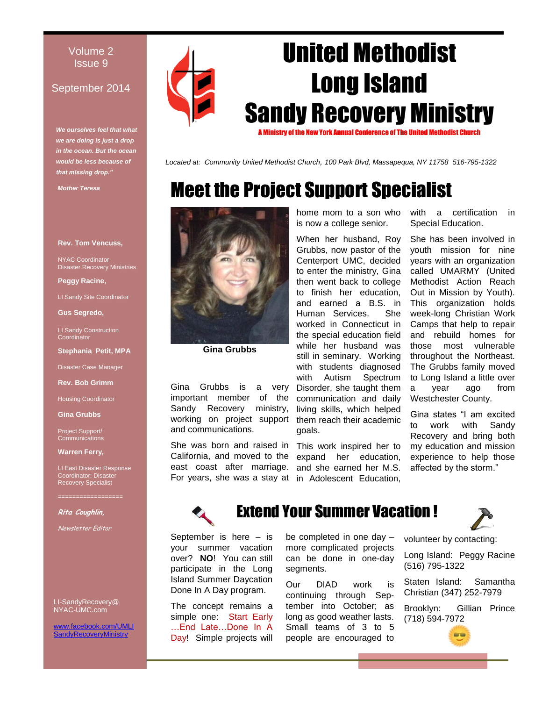#### Volume 2 Issue 9

#### September 2014

*We ourselves feel that what we are doing is just a drop in the ocean. But the ocean would be less because of that missing drop."*

*Mother Teresa*

#### **Rev. Tom Vencuss,**

NYAC Coordinator Disaster Recovery Ministries

**Peggy Racine,** 

LI Sandy Site Coordinator

**Gus Segredo,** 

LI Sandy Construction **Coordinator** 

**Stephania Petit, MPA**

Disaster Case Manager

**Rev. Bob Grimm**

Housing Coordinator

**Gina Grubbs**

Project Support/ **Communications** 

**Warren Ferry,** 

LI East Disaster Response Coordinator; Disaster Recovery Specialist

**Rita Coughlin,** 

Newsletter Editor

LI-SandyRecovery@ NYAC-UMC.com

w.facebook.com/UMLI dyRecoveryMinistry



**Gina Grubbs**

Gina Grubbs is a very important member of the Sandy Recovery ministry, working on project support and communications.

She was born and raised in This work inspired her to California, and moved to the expand her education, east coast after marriage. and she earned her M.S. For years, she was a stay at in Adolescent Education,

home mom to a son who is now a college senior.

United Methodist

Long Island

Sandy Recovery Ministry

A Ministry of the New York Annual Conference of The United Methodist Church

Meet the Project Support Specialist

*Located at: Community United Methodist Church, 100 Park Blvd, Massapequa, NY 11758 516-795-1322*

When her husband, Roy Grubbs, now pastor of the Centerport UMC, decided to enter the ministry, Gina then went back to college to finish her education, and earned a B.S. in Human Services. She worked in Connecticut in the special education field while her husband was still in seminary. Working with students diagnosed with Autism Spectrum Disorder, she taught them communication and daily living skills, which helped them reach their academic goals.

with a certification in Special Education.

She has been involved in youth mission for nine years with an organization called UMARMY (United Methodist Action Reach Out in Mission by Youth). This organization holds week-long Christian Work Camps that help to repair and rebuild homes for those most vulnerable throughout the Northeast. The Grubbs family moved to Long Island a little over a year ago from Westchester County.

Gina states "I am excited to work with Sandy Recovery and bring both my education and mission experience to help those affected by the storm."



# Extend Your Summer Vacation !

September is here – is your summer vacation over? **NO**! You can still participate in the Long Island Summer Daycation Done In A Day program.

The concept remains a simple one: Start Early …End Late…Done In A Day! Simple projects will be completed in one day – more complicated projects can be done in one-day segments.

Our DIAD work is continuing through September into October; as long as good weather lasts. Small teams of 3 to 5 people are encouraged to



volunteer by contacting:

Long Island: Peggy Racine (516) 795-1322

Staten Island: Samantha Christian (347) 252-7979

Brooklyn: Gillian Prince (718) 594-7972